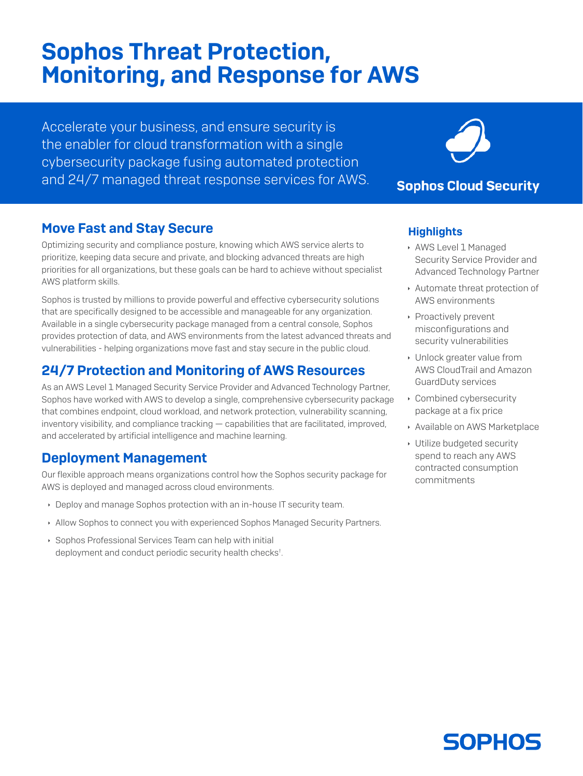# Sophos Threat Protection, Monitoring, and Response for AWS

Accelerate your business, and ensure security is the enabler for cloud transformation with a single cybersecurity package fusing automated protection and 24/7 managed threat response services for AWS.

## Move Fast and Stay Secure

Optimizing security and compliance posture, knowing which AWS service alerts to prioritize, keeping data secure and private, and blocking advanced threats are high priorities for all organizations, but these goals can be hard to achieve without specialist AWS platform skills.

Sophos is trusted by millions to provide powerful and effective cybersecurity solutions that are specifically designed to be accessible and manageable for any organization. Available in a single cybersecurity package managed from a central console, Sophos provides protection of data, and AWS environments from the latest advanced threats and vulnerabilities - helping organizations move fast and stay secure in the public cloud.

# 24/7 Protection and Monitoring of AWS Resources

As an AWS Level 1 Managed Security Service Provider and Advanced Technology Partner, Sophos have worked with AWS to develop a single, comprehensive cybersecurity package that combines endpoint, cloud workload, and network protection, vulnerability scanning, inventory visibility, and compliance tracking — capabilities that are facilitated, improved, and accelerated by artificial intelligence and machine learning.

### Deployment Management

Our flexible approach means organizations control how the Sophos security package for AWS is deployed and managed across cloud environments.

- **Deploy and manage Sophos protection with an in-house IT security team.**
- **Allow Sophos to connect you with experienced Sophos Managed Security Partners.**
- **Sophos Professional Services Team can help with initial** deployment and conduct periodic security health checks† .

# **Sophos Cloud Security**

#### **Highlights**

- **AWS Level 1 Managed** Security Service Provider and Advanced Technology Partner
- **Automate threat protection of** AWS environments
- **Proactively prevent** misconfigurations and security vulnerabilities
- **I** Unlock greater value from AWS CloudTrail and Amazon GuardDuty services
- **Combined cybersecurity** package at a fix price
- **Available on AWS Marketplace**
- **Utilize budgeted security** spend to reach any AWS contracted consumption commitments